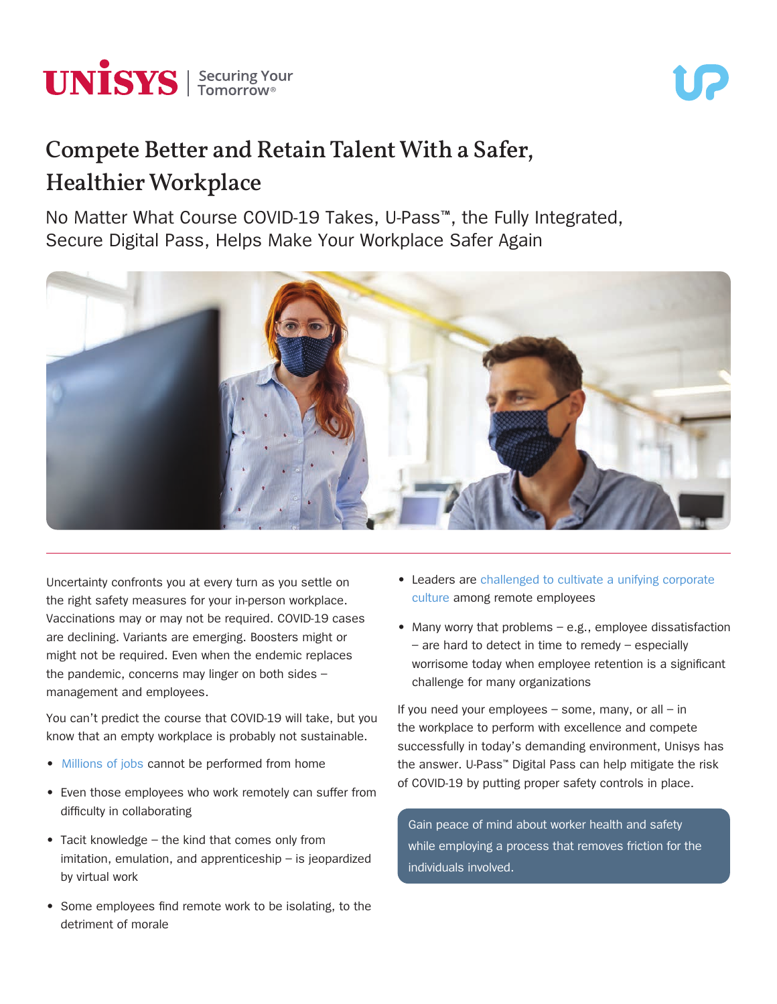

# Compete Better and Retain Talent With a Safer, Healthier Workplace

No Matter What Course COVID-19 Takes, U-Pass™, the Fully Integrated, Secure Digital Pass, Helps Make Your Workplace Safer Again



Uncertainty confronts you at every turn as you settle on the right safety measures for your in-person workplace. Vaccinations may or may not be required. COVID-19 cases are declining. Variants are emerging. Boosters might or might not be required. Even when the endemic replaces the pandemic, concerns may linger on both sides – management and employees.

You can't predict the course that COVID-19 will take, but you know that an empty workplace is probably not sustainable.

- [Millions of jobs](https://www.hcamag.com/us/specialization/employee-engagement/why-remote-work-isnt-for-everyone/229639) cannot be performed from home
- Even those employees who work remotely can suffer from difficulty in collaborating
- Tacit knowledge the kind that comes only from imitation, emulation, and apprenticeship – is jeopardized by virtual work
- Some employees find remote work to be isolating, to the detriment of morale
- Leaders are [challenged to cultivate a unifying corporate](https://www.coworkingresources.org/blog/the-negative-effects-of-working-from-home-on-company-culture)  [culture](https://www.coworkingresources.org/blog/the-negative-effects-of-working-from-home-on-company-culture) among remote employees
- Many worry that problems e.g., employee dissatisfaction – are hard to detect in time to remedy – especially worrisome today when employee retention is a significant challenge for many organizations

If you need your employees  $-$  some, many, or all  $-$  in the workplace to perform with excellence and compete successfully in today's demanding environment, Unisys has the answer. U-Pass™ Digital Pass can help mitigate the risk of COVID-19 by putting proper safety controls in place.

Gain peace of mind about worker health and safety while employing a process that removes friction for the individuals involved.